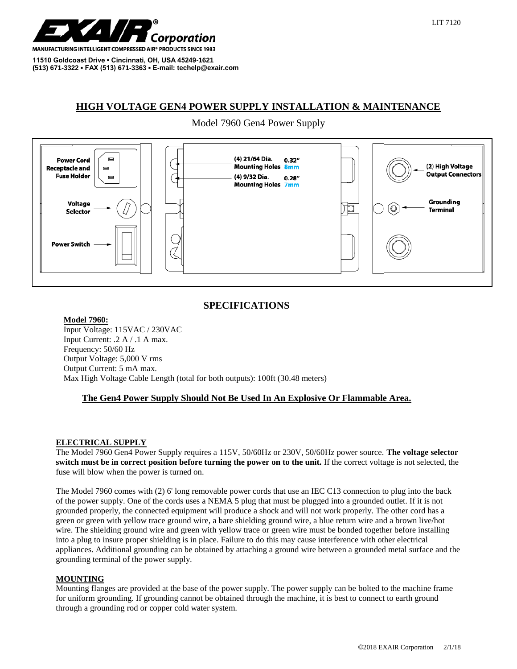

**11510 Goldcoast Drive ▪ Cincinnati, OH, USA 45249-1621 (513) 671-3322 ▪ FAX (513) 671-3363 ▪ E-mail: techelp@exair.com**

# **HIGH VOLTAGE GEN4 POWER SUPPLY INSTALLATION & MAINTENANCE**

## Model 7960 Gen4 Power Supply



## **SPECIFICATIONS**

#### **Model 7960:**

Input Voltage: 115VAC / 230VAC Input Current: .2 A / .1 A max. Frequency: 50/60 Hz Output Voltage: 5,000 V rms Output Current: 5 mA max. Max High Voltage Cable Length (total for both outputs): 100ft (30.48 meters)

## **The Gen4 Power Supply Should Not Be Used In An Explosive Or Flammable Area.**

#### **ELECTRICAL SUPPLY**

The Model 7960 Gen4 Power Supply requires a 115V, 50/60Hz or 230V, 50/60Hz power source. **The voltage selector switch must be in correct position before turning the power on to the unit.** If the correct voltage is not selected, the fuse will blow when the power is turned on.

The Model 7960 comes with (2) 6' long removable power cords that use an IEC C13 connection to plug into the back of the power supply. One of the cords uses a NEMA 5 plug that must be plugged into a grounded outlet. If it is not grounded properly, the connected equipment will produce a shock and will not work properly. The other cord has a green or green with yellow trace ground wire, a bare shielding ground wire, a blue return wire and a brown live/hot wire. The shielding ground wire and green with yellow trace or green wire must be bonded together before installing into a plug to insure proper shielding is in place. Failure to do this may cause interference with other electrical appliances. Additional grounding can be obtained by attaching a ground wire between a grounded metal surface and the grounding terminal of the power supply.

#### **MOUNTING**

Mounting flanges are provided at the base of the power supply. The power supply can be bolted to the machine frame for uniform grounding. If grounding cannot be obtained through the machine, it is best to connect to earth ground through a grounding rod or copper cold water system.